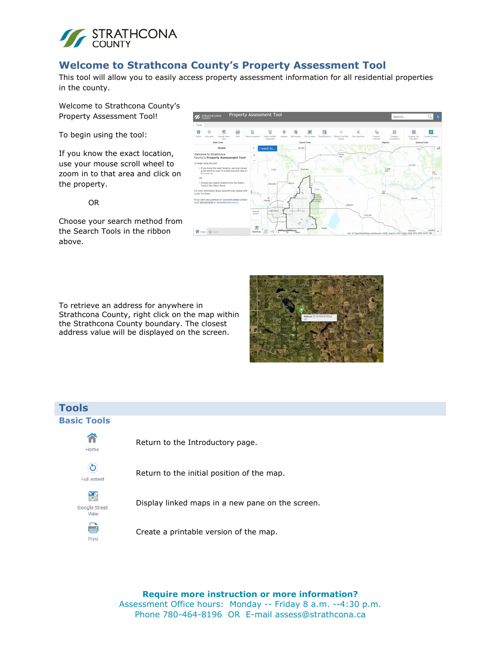

## **Welcome to Strathcona County's Property Assessment Tool**

This tool will allow you to easily access property assessment information for all residential properties in the county.

Welcome to Strathcona County's Property Assessment Tool!

To begin using the tool:

If you know the exact location, use your mouse scroll wheel to zoom in to that area and click on the property.

OR

Choose your search method from the Search Tools in the ribbon above.

To retrieve an address for anywhere in Strathcona County, right click on the map within the Strathcona County boundary. The closest address value will be displayed on the screen.





# **Tools Basic Tools**



Return to the Introductory page.



Return to the initial position of the map.



**Print** 

Display linked maps in a new pane on the screen.



**Require more instruction or more information?**  Assessment Office hours: Monday -- Friday 8 a.m. --4:30 p.m. Phone 780-464-8196 OR E-mail assess@strathcona.ca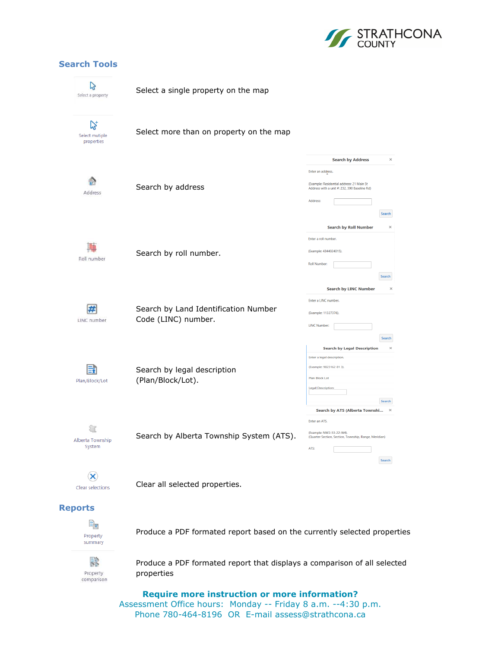

### **Search Tools**



#### **Reports**



Produce a PDF formated report based on the currently selected properties



Produce a PDF formated report that displays a comparison of all selected properties

**Require more instruction or more information?**  Assessment Office hours: Monday -- Friday 8 a.m. --4:30 p.m. Phone 780-464-8196 OR E-mail assess@strathcona.ca